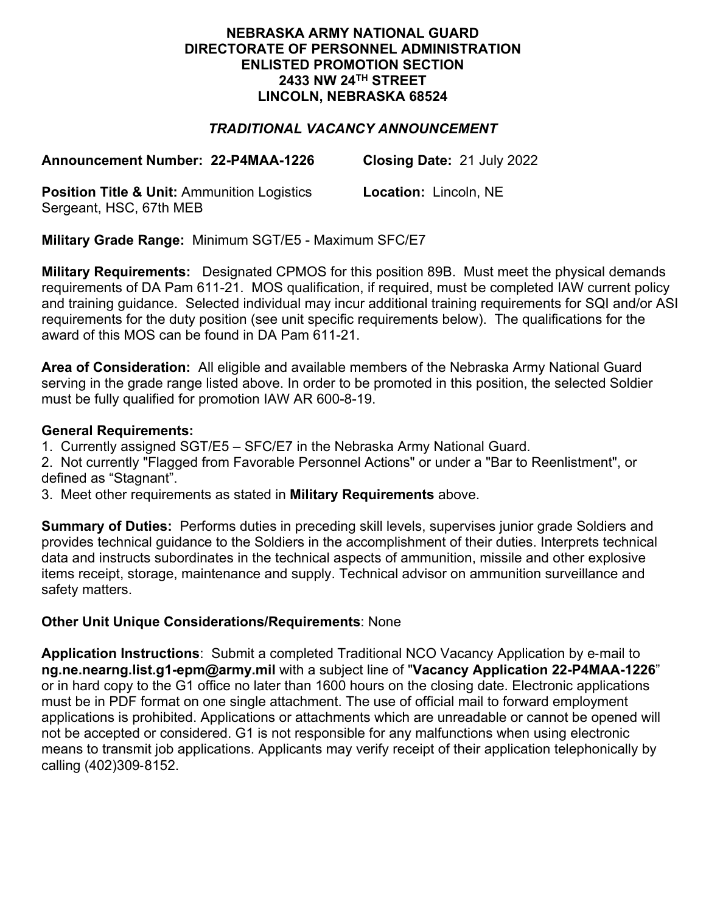### **NEBRASKA ARMY NATIONAL GUARD DIRECTORATE OF PERSONNEL ADMINISTRATION ENLISTED PROMOTION SECTION 2433 NW 24TH STREET LINCOLN, NEBRASKA 68524**

# *TRADITIONAL VACANCY ANNOUNCEMENT*

**Announcement Number: 22-P4MAA-1226 Closing Date:** 21 July 2022

**Position Title & Unit:** Ammunition Logistics Sergeant, HSC, 67th MEB

**Location:** Lincoln, NE

**Military Grade Range:** Minimum SGT/E5 - Maximum SFC/E7

**Military Requirements:** Designated CPMOS for this position 89B. Must meet the physical demands requirements of DA Pam 611-21. MOS qualification, if required, must be completed IAW current policy and training guidance. Selected individual may incur additional training requirements for SQI and/or ASI requirements for the duty position (see unit specific requirements below). The qualifications for the award of this MOS can be found in DA Pam 611-21.

**Area of Consideration:** All eligible and available members of the Nebraska Army National Guard serving in the grade range listed above. In order to be promoted in this position, the selected Soldier must be fully qualified for promotion IAW AR 600-8-19.

### **General Requirements:**

1. Currently assigned SGT/E5 – SFC/E7 in the Nebraska Army National Guard.

2. Not currently "Flagged from Favorable Personnel Actions" or under a "Bar to Reenlistment", or defined as "Stagnant".

3. Meet other requirements as stated in **Military Requirements** above.

**Summary of Duties:** Performs duties in preceding skill levels, supervises junior grade Soldiers and provides technical guidance to the Soldiers in the accomplishment of their duties. Interprets technical data and instructs subordinates in the technical aspects of ammunition, missile and other explosive items receipt, storage, maintenance and supply. Technical advisor on ammunition surveillance and safety matters.

## **Other Unit Unique Considerations/Requirements**: None

**Application Instructions**: Submit a completed Traditional NCO Vacancy Application by e-mail to **ng.ne.nearng.list.g1-epm@army.mil** with a subject line of "**Vacancy Application 22-P4MAA-1226**" or in hard copy to the G1 office no later than 1600 hours on the closing date. Electronic applications must be in PDF format on one single attachment. The use of official mail to forward employment applications is prohibited. Applications or attachments which are unreadable or cannot be opened will not be accepted or considered. G1 is not responsible for any malfunctions when using electronic means to transmit job applications. Applicants may verify receipt of their application telephonically by calling (402)309-8152.